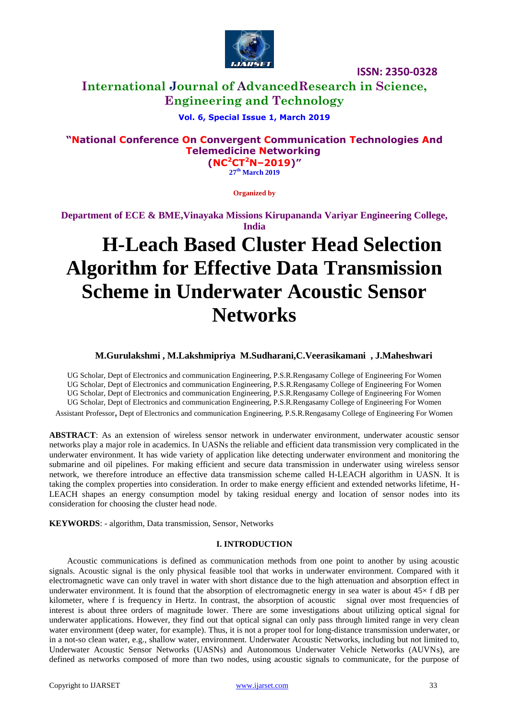

# **International Journal of AdvancedResearch in Science, Engineering and Technology**

## **Vol. 6, Special Issue 1, March 2019**

# **"National Conference On Convergent Communication Technologies And Telemedicine Networking**

**(NC<sup>2</sup>CT<sup>2</sup>N–2019)" 27 th March 2019**

**Organized by**

**Department of ECE & BME,Vinayaka Missions Kirupananda Variyar Engineering College, India**

# **H-Leach Based Cluster Head Selection Algorithm for Effective Data Transmission Scheme in Underwater Acoustic Sensor Networks**

#### **M.Gurulakshmi , M.Lakshmipriya M.Sudharani,C.Veerasikamani , J.Maheshwari**

UG Scholar, Dept of Electronics and communication Engineering, P.S.R.Rengasamy College of Engineering For Women UG Scholar, Dept of Electronics and communication Engineering, P.S.R.Rengasamy College of Engineering For Women UG Scholar, Dept of Electronics and communication Engineering, P.S.R.Rengasamy College of Engineering For Women UG Scholar, Dept of Electronics and communication Engineering, P.S.R.Rengasamy College of Engineering For Women

Assistant Professor, Dept of Electronics and communication Engineering, P.S.R.Rengasamy College of Engineering For Women

**ABSTRACT**: As an extension of wireless sensor network in underwater environment, underwater acoustic sensor networks play a major role in academics. In UASNs the reliable and efficient data transmission very complicated in the underwater environment. It has wide variety of application like detecting underwater environment and monitoring the submarine and oil pipelines. For making efficient and secure data transmission in underwater using wireless sensor network, we therefore introduce an effective data transmission scheme called H-LEACH algorithm in UASN. It is taking the complex properties into consideration. In order to make energy efficient and extended networks lifetime, H-LEACH shapes an energy consumption model by taking residual energy and location of sensor nodes into its consideration for choosing the cluster head node.

**KEYWORDS**: - algorithm, Data transmission, Sensor, Networks

#### **I. INTRODUCTION**

 Acoustic communications is defined as communication methods from one point to another by using acoustic signals. Acoustic signal is the only physical feasible tool that works in underwater environment. Compared with it electromagnetic wave can only travel in water with short distance due to the high attenuation and absorption effect in underwater environment. It is found that the absorption of electromagnetic energy in sea water is about  $45\times$  f dB per kilometer, where f is frequency in Hertz. In contrast, the absorption of acoustic signal over most frequencies of interest is about three orders of magnitude lower. There are some investigations about utilizing optical signal for underwater applications. However, they find out that optical signal can only pass through limited range in very clean water environment (deep water, for example). Thus, it is not a proper tool for long-distance transmission underwater, or in a not-so clean water, e.g., shallow water, environment. Underwater Acoustic Networks, including but not limited to, Underwater Acoustic Sensor Networks (UASNs) and Autonomous Underwater Vehicle Networks (AUVNs), are defined as networks composed of more than two nodes, using acoustic signals to communicate, for the purpose of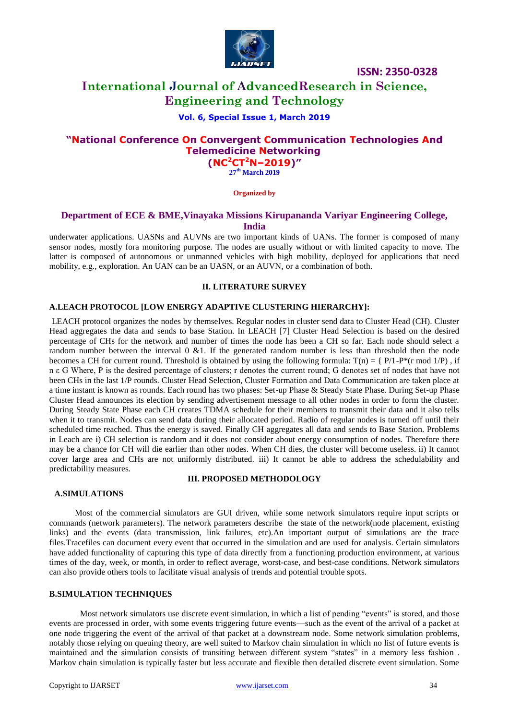

# **International Journal of AdvancedResearch in Science, Engineering and Technology**

#### **Vol. 6, Special Issue 1, March 2019**

## **"National Conference On Convergent Communication Technologies And Telemedicine Networking (NC<sup>2</sup>CT<sup>2</sup>N–2019)"**

**27 th March 2019**

**Organized by**

#### **Department of ECE & BME,Vinayaka Missions Kirupananda Variyar Engineering College, India**

underwater applications. UASNs and AUVNs are two important kinds of UANs. The former is composed of many sensor nodes, mostly fora monitoring purpose. The nodes are usually without or with limited capacity to move. The latter is composed of autonomous or unmanned vehicles with high mobility, deployed for applications that need mobility, e.g., exploration. An UAN can be an UASN, or an AUVN, or a combination of both.

#### **II. LITERATURE SURVEY**

#### **A.LEACH PROTOCOL [LOW ENERGY ADAPTIVE CLUSTERING HIERARCHY]:**

LEACH protocol organizes the nodes by themselves. Regular nodes in cluster send data to Cluster Head (CH). Cluster Head aggregates the data and sends to base Station. In LEACH [7] Cluster Head Selection is based on the desired percentage of CHs for the network and number of times the node has been a CH so far. Each node should select a random number between the interval  $0 \& 1$ . If the generated random number is less than threshold then the node becomes a CH for current round. Threshold is obtained by using the following formula:  $T(n) = \{P/1-P^*(r \mod 1/P), r\}$ n ε G Where, P is the desired percentage of clusters; r denotes the current round; G denotes set of nodes that have not been CHs in the last 1/P rounds. Cluster Head Selection, Cluster Formation and Data Communication are taken place at a time instant is known as rounds. Each round has two phases: Set-up Phase & Steady State Phase. During Set-up Phase Cluster Head announces its election by sending advertisement message to all other nodes in order to form the cluster. During Steady State Phase each CH creates TDMA schedule for their members to transmit their data and it also tells when it to transmit. Nodes can send data during their allocated period. Radio of regular nodes is turned off until their scheduled time reached. Thus the energy is saved. Finally CH aggregates all data and sends to Base Station. Problems in Leach are i) CH selection is random and it does not consider about energy consumption of nodes. Therefore there may be a chance for CH will die earlier than other nodes. When CH dies, the cluster will become useless. ii) It cannot cover large area and CHs are not uniformly distributed. iii) It cannot be able to address the schedulability and predictability measures.

## **III. PROPOSED METHODOLOGY**

#### **A.SIMULATIONS**

 Most of the commercial simulators are GUI driven, while some network simulators require input scripts or commands (network parameters). The network parameters describe the state of the network(node placement, existing links) and the events (data transmission, link failures, etc).An important output of simulations are the trace files.Tracefiles can document every event that occurred in the simulation and are used for analysis. Certain simulators have added functionality of capturing this type of data directly from a functioning production environment, at various times of the day, week, or month, in order to reflect average, worst-case, and best-case conditions. Network simulators can also provide others tools to facilitate visual analysis of trends and potential trouble spots.

#### **B.SIMULATION TECHNIQUES**

Most network simulators use discrete event simulation, in which a list of pending "events" is stored, and those events are processed in order, with some events triggering future events—such as the event of the arrival of a packet at one node triggering the event of the arrival of that packet at a downstream node. Some network simulation problems, notably those relying on queuing theory, are well suited to Markov chain simulation in which no list of future events is maintained and the simulation consists of transiting between different system "states" in a memory less fashion. Markov chain simulation is typically faster but less accurate and flexible then detailed discrete event simulation. Some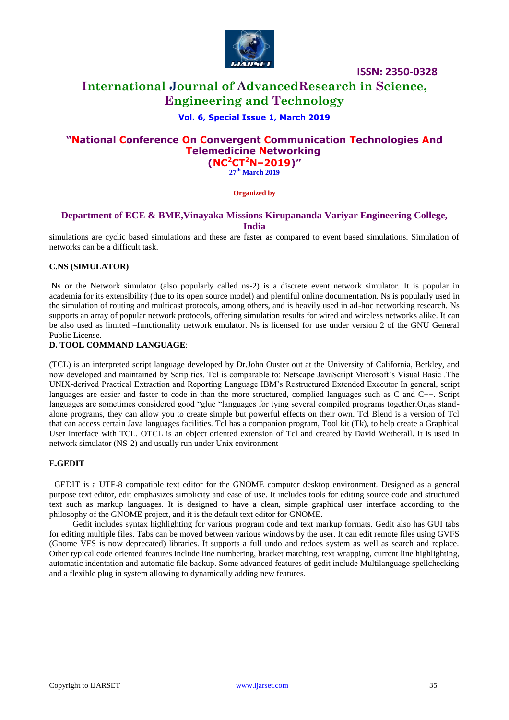

# **International Journal of AdvancedResearch in Science, Engineering and Technology**

#### **Vol. 6, Special Issue 1, March 2019**

## **"National Conference On Convergent Communication Technologies And Telemedicine Networking (NC<sup>2</sup>CT<sup>2</sup>N–2019)"**

**27 th March 2019**

**Organized by**

#### **Department of ECE & BME,Vinayaka Missions Kirupananda Variyar Engineering College, India**

simulations are cyclic based simulations and these are faster as compared to event based simulations. Simulation of networks can be a difficult task.

#### **C.NS (SIMULATOR)**

Ns or the Network simulator (also popularly called ns-2) is a discrete event network simulator. It is popular in academia for its extensibility (due to its open source model) and plentiful online documentation. Ns is popularly used in the simulation of routing and multicast protocols, among others, and is heavily used in ad-hoc networking research. Ns supports an array of popular network protocols, offering simulation results for wired and wireless networks alike. It can be also used as limited –functionality network emulator. Ns is licensed for use under version 2 of the GNU General Public License.

#### **D. TOOL COMMAND LANGUAGE**:

(TCL) is an interpreted script language developed by Dr.John Ouster out at the University of California, Berkley, and now developed and maintained by Scrip tics. Tcl is comparable to: Netscape JavaScript Microsoft's Visual Basic .The UNIX-derived Practical Extraction and Reporting Language IBM's Restructured Extended Executor In general, script languages are easier and faster to code in than the more structured, complied languages such as C and C++. Script languages are sometimes considered good "glue "languages for tying several compiled programs together.Or,as standalone programs, they can allow you to create simple but powerful effects on their own. Tcl Blend is a version of Tcl that can access certain Java languages facilities. Tcl has a companion program, Tool kit (Tk), to help create a Graphical User Interface with TCL. OTCL is an object oriented extension of Tcl and created by David Wetherall. It is used in network simulator (NS-2) and usually run under Unix environment

#### **E.GEDIT**

 GEDIT is a UTF-8 compatible text editor for the GNOME computer desktop environment. Designed as a general purpose text editor, edit emphasizes simplicity and ease of use. It includes tools for editing source code and structured text such as markup languages. It is designed to have a clean, simple graphical user interface according to the philosophy of the GNOME project, and it is the default text editor for GNOME.

 Gedit includes syntax highlighting for various program code and text markup formats. Gedit also has GUI tabs for editing multiple files. Tabs can be moved between various windows by the user. It can edit remote files using GVFS (Gnome VFS is now deprecated) libraries. It supports a full undo and redoes system as well as search and replace. Other typical code oriented features include line numbering, bracket matching, text wrapping, current line highlighting, automatic indentation and automatic file backup. Some advanced features of gedit include Multilanguage spellchecking and a flexible plug in system allowing to dynamically adding new features.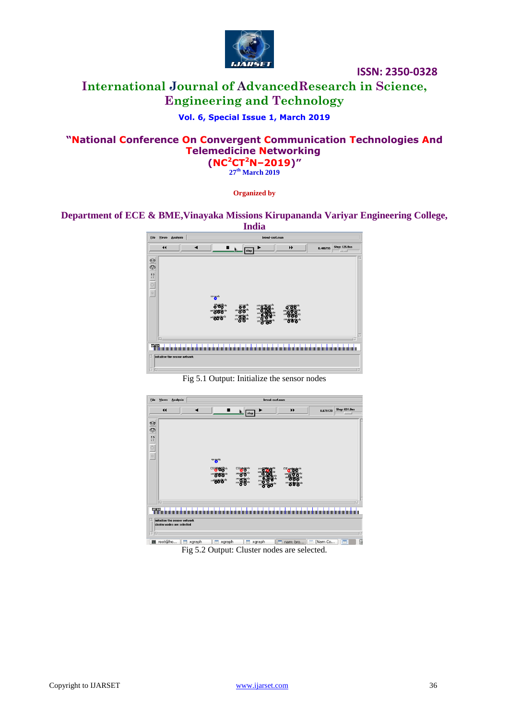

# **International Journal of AdvancedResearch in Science, Engineering and Technology**

## **Vol. 6, Special Issue 1, March 2019**

## **"National Conference On Convergent Communication Technologies And Telemedicine Networking (NC<sup>2</sup>CT<sup>2</sup>N–2019)"**

**27 th March 2019**

**Organized by**

## **Department of ECE & BME,Vinayaka Missions Kirupananda Variyar Engineering College,**



Fig 5.1 Output: Initialize the sensor nodes



Fig 5.2 Output: Cluster nodes are selected.